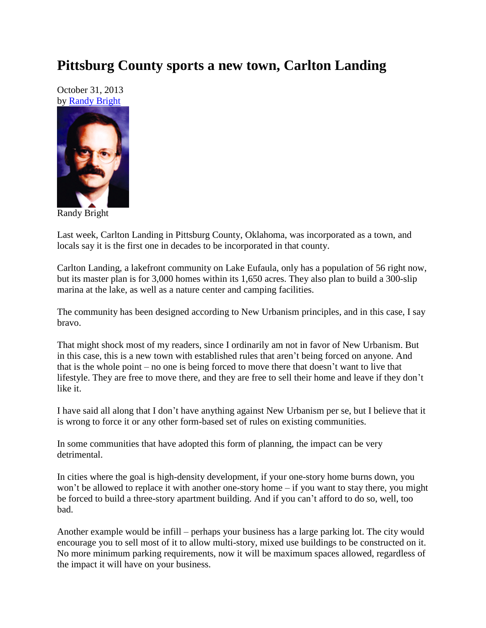## **Pittsburg County sports a new town, Carlton Landing**

October 31, 2013 by [Randy Bright](http://tulsabeacon.com/writers/randy-bright/)



Randy Bright

Last week, Carlton Landing in Pittsburg County, Oklahoma, was incorporated as a town, and locals say it is the first one in decades to be incorporated in that county.

Carlton Landing, a lakefront community on Lake Eufaula, only has a population of 56 right now, but its master plan is for 3,000 homes within its 1,650 acres. They also plan to build a 300-slip marina at the lake, as well as a nature center and camping facilities.

The community has been designed according to New Urbanism principles, and in this case, I say bravo.

That might shock most of my readers, since I ordinarily am not in favor of New Urbanism. But in this case, this is a new town with established rules that aren't being forced on anyone. And that is the whole point – no one is being forced to move there that doesn't want to live that lifestyle. They are free to move there, and they are free to sell their home and leave if they don't like it.

I have said all along that I don't have anything against New Urbanism per se, but I believe that it is wrong to force it or any other form-based set of rules on existing communities.

In some communities that have adopted this form of planning, the impact can be very detrimental.

In cities where the goal is high-density development, if your one-story home burns down, you won't be allowed to replace it with another one-story home – if you want to stay there, you might be forced to build a three-story apartment building. And if you can't afford to do so, well, too bad.

Another example would be infill – perhaps your business has a large parking lot. The city would encourage you to sell most of it to allow multi-story, mixed use buildings to be constructed on it. No more minimum parking requirements, now it will be maximum spaces allowed, regardless of the impact it will have on your business.